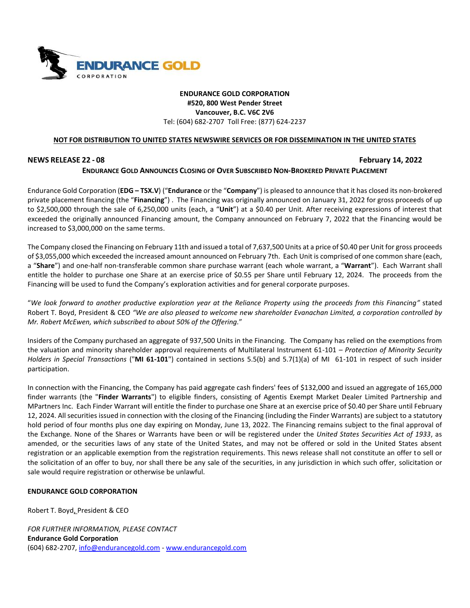

## **ENDURANCE GOLD CORPORATION #520, 800 West Pender Street Vancouver, B.C. V6C 2V6** Tel: (604) 682-2707 Toll Free: (877) 624-2237

### **NOT FOR DISTRIBUTION TO UNITED STATES NEWSWIRE SERVICES OR FOR DISSEMINATION IN THE UNITED STATES**

## **NEWS RELEASE 22 - 08 February 14, 2022**

# **ENDURANCE GOLD ANNOUNCES CLOSING OF OVER SUBSCRIBED NON-BROKERED PRIVATE PLACEMENT**

Endurance Gold Corporation (**EDG – TSX.V**) ("**Endurance** or the "**Company**") is pleased to announce that it has closed its non-brokered private placement financing (the "**Financing**") . The Financing was originally announced on January 31, 2022 for gross proceeds of up to \$2,500,000 through the sale of 6,250,000 units (each, a "**Unit**") at a \$0.40 per Unit. After receiving expressions of interest that exceeded the originally announced Financing amount, the Company announced on February 7, 2022 that the Financing would be increased to \$3,000,000 on the same terms.

The Company closed the Financing on February 11th and issued a total of 7,637,500 Units at a price of \$0.40 per Unit for gross proceeds of \$3,055,000 which exceeded the increased amount announced on February 7th. Each Unit is comprised of one common share (each, a "**Share**") and one-half non-transferable common share purchase warrant (each whole warrant, a "**Warrant**"). Each Warrant shall entitle the holder to purchase one Share at an exercise price of \$0.55 per Share until February 12, 2024. The proceeds from the Financing will be used to fund the Company's exploration activities and for general corporate purposes.

"*We look forward to another productive exploration year at the Reliance Property using the proceeds from this Financing"* stated Robert T. Boyd, President & CEO *"We are also pleased to welcome new shareholder Evanachan Limited, a corporation controlled by Mr. Robert McEwen, which subscribed to about 50% of the Offering.*"

Insiders of the Company purchased an aggregate of 937,500 Units in the Financing. The Company has relied on the exemptions from the valuation and minority shareholder approval requirements of Multilateral Instrument 61-101 – *Protection of Minority Security Holders in Special Transactions* ("**MI 61-101**") contained in sections 5.5(b) and 5.7(1)(a) of MI 61-101 in respect of such insider participation.

In connection with the Financing, the Company has paid aggregate cash finders' fees of \$132,000 and issued an aggregate of 165,000 finder warrants (the "**Finder Warrants**") to eligible finders, consisting of Agentis Exempt Market Dealer Limited Partnership and MPartners Inc. Each Finder Warrant will entitle the finder to purchase one Share at an exercise price of \$0.40 per Share until February 12, 2024. All securities issued in connection with the closing of the Financing (including the Finder Warrants) are subject to a statutory hold period of four months plus one day expiring on Monday, June 13, 2022. The Financing remains subject to the final approval of the Exchange. None of the Shares or Warrants have been or will be registered under the *United States Securities Act of 1933*, as amended, or the securities laws of any state of the United States, and may not be offered or sold in the United States absent registration or an applicable exemption from the registration requirements. This news release shall not constitute an offer to sell or the solicitation of an offer to buy, nor shall there be any sale of the securities, in any jurisdiction in which such offer, solicitation or sale would require registration or otherwise be unlawful.

### **ENDURANCE GOLD CORPORATION**

Robert T. Boyd, President & CEO

*FOR FURTHER INFORMATION, PLEASE CONTACT* **Endurance Gold Corporation** (604) 682-2707, [info@endurancegold.com](mailto:info@endurancegold.com) - [www.endurancegold.com](http://www.endurancegold.com/)